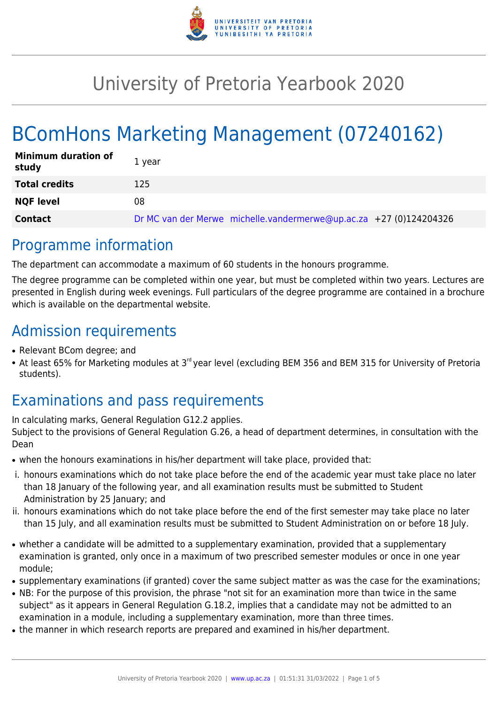

## University of Pretoria Yearbook 2020

# BComHons Marketing Management (07240162)

| <b>Minimum duration of</b><br>study | 1 vear                                                             |
|-------------------------------------|--------------------------------------------------------------------|
| <b>Total credits</b>                | 125                                                                |
| <b>NQF level</b>                    | 08                                                                 |
| <b>Contact</b>                      | Dr MC van der Merwe michelle.vandermerwe@up.ac.za +27 (0)124204326 |

### Programme information

The department can accommodate a maximum of 60 students in the honours programme.

The degree programme can be completed within one year, but must be completed within two years. Lectures are presented in English during week evenings. Full particulars of the degree programme are contained in a brochure which is available on the departmental website.

### Admission requirements

- Relevant BCom degree; and
- At least 65% for Marketing modules at 3<sup>rd</sup> vear level (excluding BEM 356 and BEM 315 for University of Pretoria students).

## Examinations and pass requirements

In calculating marks, General Regulation G12.2 applies. Subject to the provisions of General Regulation G.26, a head of department determines, in consultation with the Dean

- when the honours examinations in his/her department will take place, provided that:
- i. honours examinations which do not take place before the end of the academic year must take place no later than 18 January of the following year, and all examination results must be submitted to Student Administration by 25 January; and
- ii. honours examinations which do not take place before the end of the first semester may take place no later than 15 July, and all examination results must be submitted to Student Administration on or before 18 July.
- whether a candidate will be admitted to a supplementary examination, provided that a supplementary examination is granted, only once in a maximum of two prescribed semester modules or once in one year module;
- supplementary examinations (if granted) cover the same subject matter as was the case for the examinations;
- NB: For the purpose of this provision, the phrase "not sit for an examination more than twice in the same subject" as it appears in General Regulation G.18.2, implies that a candidate may not be admitted to an examination in a module, including a supplementary examination, more than three times.
- the manner in which research reports are prepared and examined in his/her department.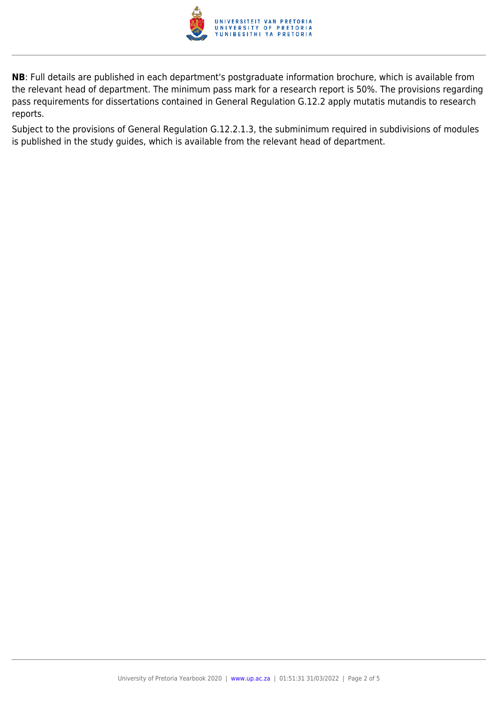

**NB**: Full details are published in each department's postgraduate information brochure, which is available from the relevant head of department. The minimum pass mark for a research report is 50%. The provisions regarding pass requirements for dissertations contained in General Regulation G.12.2 apply mutatis mutandis to research reports.

Subject to the provisions of General Regulation G.12.2.1.3, the subminimum required in subdivisions of modules is published in the study guides, which is available from the relevant head of department.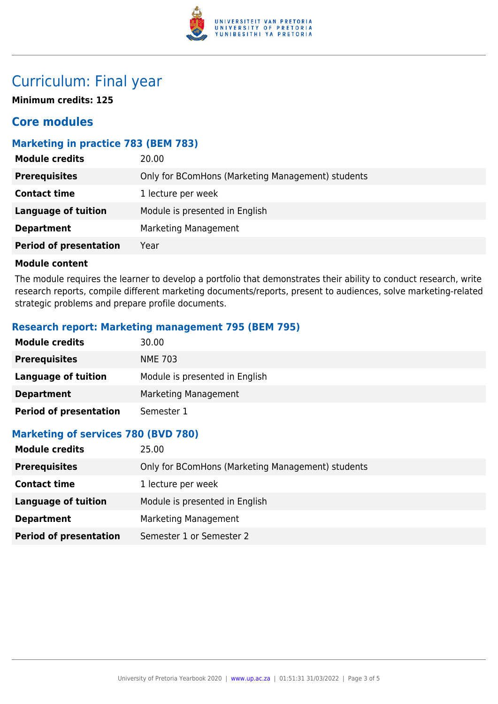

### Curriculum: Final year

**Minimum credits: 125**

### **Core modules**

#### **Marketing in practice 783 (BEM 783)**

| <b>Module credits</b>         | 20.00                                             |
|-------------------------------|---------------------------------------------------|
| <b>Prerequisites</b>          | Only for BComHons (Marketing Management) students |
| <b>Contact time</b>           | 1 lecture per week                                |
| <b>Language of tuition</b>    | Module is presented in English                    |
| <b>Department</b>             | <b>Marketing Management</b>                       |
| <b>Period of presentation</b> | Year                                              |
|                               |                                                   |

#### **Module content**

The module requires the learner to develop a portfolio that demonstrates their ability to conduct research, write research reports, compile different marketing documents/reports, present to audiences, solve marketing-related strategic problems and prepare profile documents.

#### **Research report: Marketing management 795 (BEM 795)**

| <b>Module credits</b>         | 30.00                          |
|-------------------------------|--------------------------------|
| <b>Prerequisites</b>          | <b>NME 703</b>                 |
| Language of tuition           | Module is presented in English |
| <b>Department</b>             | Marketing Management           |
| <b>Period of presentation</b> | Semester 1                     |

#### **Marketing of services 780 (BVD 780)**

| <b>Module credits</b>         | 25.00                                             |
|-------------------------------|---------------------------------------------------|
| <b>Prerequisites</b>          | Only for BComHons (Marketing Management) students |
| <b>Contact time</b>           | 1 lecture per week                                |
| Language of tuition           | Module is presented in English                    |
| <b>Department</b>             | Marketing Management                              |
| <b>Period of presentation</b> | Semester 1 or Semester 2                          |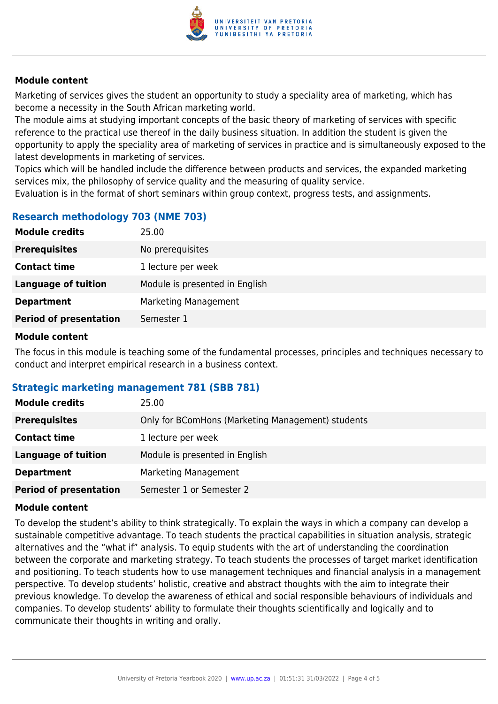

#### **Module content**

Marketing of services gives the student an opportunity to study a speciality area of marketing, which has become a necessity in the South African marketing world.

The module aims at studying important concepts of the basic theory of marketing of services with specific reference to the practical use thereof in the daily business situation. In addition the student is given the opportunity to apply the speciality area of marketing of services in practice and is simultaneously exposed to the latest developments in marketing of services.

Topics which will be handled include the difference between products and services, the expanded marketing services mix, the philosophy of service quality and the measuring of quality service.

Evaluation is in the format of short seminars within group context, progress tests, and assignments.

#### **Research methodology 703 (NME 703)**

| <b>Module credits</b>         | 25.00                          |
|-------------------------------|--------------------------------|
| <b>Prerequisites</b>          | No prerequisites               |
| <b>Contact time</b>           | 1 lecture per week             |
| <b>Language of tuition</b>    | Module is presented in English |
| <b>Department</b>             | Marketing Management           |
| <b>Period of presentation</b> | Semester 1                     |
|                               |                                |

#### **Module content**

The focus in this module is teaching some of the fundamental processes, principles and techniques necessary to conduct and interpret empirical research in a business context.

#### **Strategic marketing management 781 (SBB 781)**

| <b>Module credits</b>         | 25.00                                             |
|-------------------------------|---------------------------------------------------|
| <b>Prerequisites</b>          | Only for BComHons (Marketing Management) students |
| <b>Contact time</b>           | 1 lecture per week                                |
| <b>Language of tuition</b>    | Module is presented in English                    |
| <b>Department</b>             | Marketing Management                              |
| <b>Period of presentation</b> | Semester 1 or Semester 2                          |

#### **Module content**

To develop the student's ability to think strategically. To explain the ways in which a company can develop a sustainable competitive advantage. To teach students the practical capabilities in situation analysis, strategic alternatives and the "what if" analysis. To equip students with the art of understanding the coordination between the corporate and marketing strategy. To teach students the processes of target market identification and positioning. To teach students how to use management techniques and financial analysis in a management perspective. To develop students' holistic, creative and abstract thoughts with the aim to integrate their previous knowledge. To develop the awareness of ethical and social responsible behaviours of individuals and companies. To develop students' ability to formulate their thoughts scientifically and logically and to communicate their thoughts in writing and orally.